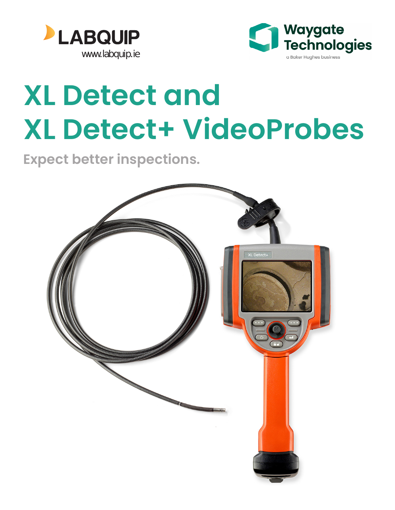



# **XL Detect and XL Detect+ VideoProbes**

**Expect better inspections.**

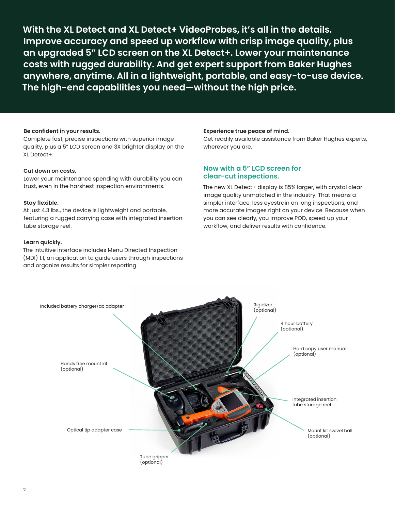**With the XL Detect and XL Detect+ VideoProbes, it's all in the details. Improve accuracy and speed up workflow with crisp image quality, plus an upgraded 5" LCD screen on the XL Detect+. Lower your maintenance costs with rugged durability. And get expert support from Baker Hughes anywhere, anytime. All in a lightweight, portable, and easy-to-use device. The high-end capabilities you need—without the high price.** 

#### **Be confident in your results.**

Complete fast, precise inspections with superior image quality, plus a 5" LCD screen and 3X brighter display on the XL Detect+.

#### **Cut down on costs.**

Lower your maintenance spending with durability you can trust, even in the harshest inspection environments.

#### **Stay flexible.**

At just 4.3 lbs., the device is lightweight and portable, featuring a rugged carrying case with integrated insertion tube storage reel.

#### **Learn quickly.**

The intuitive interface includes Menu Directed Inspection (MDI) 1.1, an application to guide users through inspections and organize results for simpler reporting

#### **Experience true peace of mind.**

Get readily available assistance from Baker Hughes experts, wherever you are.

#### **Now with a 5" LCD screen for clear-cut inspections.**

The new XL Detect+ display is 85% larger, with crystal clear image quality unmatched in the industry. That means a simpler interface, less eyestrain on long inspections, and more accurate images right on your device. Because when you can see clearly, you improve POD, speed up your workflow, and deliver results with confidence.

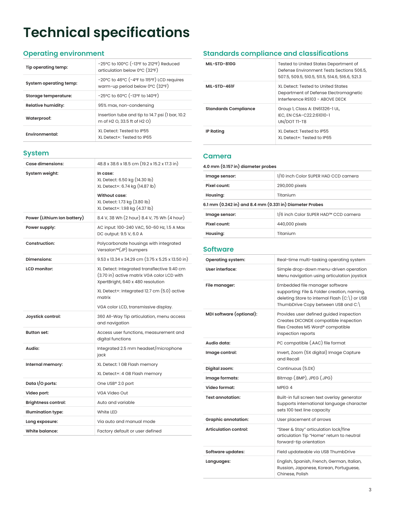# **Technical specifications**

# **Operating environment**

| Tip operating temp:       | $-25^{\circ}$ C to 100 $^{\circ}$ C ( $-13^{\circ}$ F to 212 $^{\circ}$ F) Reduced<br>articulation below 0°C (32°F) |  |  |  |  |
|---------------------------|---------------------------------------------------------------------------------------------------------------------|--|--|--|--|
| System operating temp:    | -20°C to 46°C (-4°F to 115°F) LCD requires<br>warm-up period below 0°C (32°F)                                       |  |  |  |  |
| Storage temperature:      | $-25^{\circ}$ C to 60 $^{\circ}$ C ( $-13^{\circ}$ F to 140 $^{\circ}$ F)                                           |  |  |  |  |
| <b>Relative humidity:</b> | 95% max, non-condensing                                                                                             |  |  |  |  |
| Waterproof:               | Insertion tube and tip to 14.7 psi (1 bar, 10.2)<br>m of H2 O, 33.5 ft of H2 O)                                     |  |  |  |  |
| <b>Fnvironmental:</b>     | XL Detect: Tested to IP55<br>XI Detect+: Tested to IP65                                                             |  |  |  |  |

# **System**

| Case dimensions:            | 48.8 x 38.6 x 18.5 cm (19.2 x 15.2 x 17.3 in)                                                                                  |
|-----------------------------|--------------------------------------------------------------------------------------------------------------------------------|
| System weight:              | In case:<br>XL Detect: 6.50 kg (14.30 lb)<br>XL Detect+: 6.74 kg (14.87 lb)                                                    |
|                             | Without case:<br>XL Detect: 1.73 kg (3.80 lb)<br>XL Detect+: 1.98 kg (4.37 lb)                                                 |
| Power (Lithium Ion battery) | 8.4 V, 38 Wh (2 hour) 8.4 V, 75 Wh (4 hour)                                                                                    |
| Power supply:               | AC input: 100-240 VAC, 50-60 Hz, 1.5 A Max<br>DC output: 9.5 V, 6.0 A                                                          |
| Construction:               | Polycarbonate housings with integrated<br>Versalon <sup>™</sup> (JP) bumpers                                                   |
| <b>Dimensions:</b>          | $9.53 \times 13.34 \times 34.29$ cm (3.75 x 5.25 x 13.50 in)                                                                   |
| LCD monitor:                | XL Detect: Integrated transflective 9.40 cm<br>(3.70 in) active matrix VGA color LCD with<br>XpertBright, 640 x 480 resolution |
|                             | XL Detect+: Integrated 12.7 cm (5.0) active<br>matrix                                                                          |
|                             | VGA color LCD, transmissive display.                                                                                           |
| Joystick control:           | 360 All-Way Tip articulation, menu access<br>and navigation                                                                    |
| <b>Button set:</b>          | Access user functions, measurement and<br>digital functions                                                                    |
| Audio:                      | Integrated 2.5 mm headset/microphone<br>jack                                                                                   |
| Internal memory:            | XL Detect: 1 GB Flash memory                                                                                                   |
|                             | XL Detect+: 4 GB Flash memory                                                                                                  |
| Data I/O ports:             | One USB® 2.0 port                                                                                                              |
| Video port:                 | VGA Video Out                                                                                                                  |
| <b>Brightness control:</b>  | Auto and variable                                                                                                              |
| Illumination type:          | White LED                                                                                                                      |
| Long exposure:              | Via auto and manual mode                                                                                                       |
| White balance:              | Factory default or user defined                                                                                                |

# **Standards compliance and classifications**

| MIL-STD-810G                | Tested to United States Department of<br>Defense Environment Tests Sections 506.5.<br>507.5, 509.5, 510.5, 511.5, 514.6, 516.6, 521.3 |
|-----------------------------|---------------------------------------------------------------------------------------------------------------------------------------|
| MIL-STD-461F                | XI Detect: Tested to United States<br>Department of Defense Electromagnetic<br>Interference RS103 - ABOVE DECK                        |
| <b>Standards Compliance</b> | Group 1, Class A: EN61326-1 UL,<br>IEC. EN CSA-C22.2:61010-1<br>UN/DOT TI-T8                                                          |
| <b>IP Rating</b>            | XL Detect: Tested to IP55<br>XL Detect+: Tested to IP65                                                                               |

#### **Camera**

**4.0 mm (0.157 in) diameter probes** 

| Image sensor:                                           | 1/10 inch Color SUPER HAD CCD camera |  |  |  |
|---------------------------------------------------------|--------------------------------------|--|--|--|
| Pixel count:                                            | 290,000 pixels                       |  |  |  |
| Housing:                                                | Titanium                             |  |  |  |
| 6.1 mm (0.242 in) and 8.4 mm (0.331 in) Diameter Probes |                                      |  |  |  |
| Image sensor:                                           | 1/6 inch Color SUPER HAD™ CCD camera |  |  |  |
| Pixel count:                                            | 440,000 pixels                       |  |  |  |
| Housing:                                                | Titanium                             |  |  |  |
|                                                         |                                      |  |  |  |

# **Software**

| <b>Operating system:</b>     | Real-time multi-tasking operating system                                                                                                                                |
|------------------------------|-------------------------------------------------------------------------------------------------------------------------------------------------------------------------|
| User interface:              | Simple drop-down menu-driven operation<br>Menu navigation using articulation joystick                                                                                   |
| File manager:                | Embedded file manager software<br>supporting: File & Folder creation, naming,<br>deleting Store to internal Flash $(C:\)$ or USB<br>ThumbDrive Copy between USB and C:\ |
| MDI software (optional):     | Provides user defined guided inspection<br>Creates DICONDE compatible inspection<br>files Creates MS Word® compatible<br>inspection reports                             |
| Audio data:                  | PC compatible (.AAC) file format                                                                                                                                        |
| Image control:               | Invert, Zoom (5X digital) Image Capture<br>and Recall                                                                                                                   |
| Digital zoom:                | Continuous (5.0X)                                                                                                                                                       |
| Image formats:               | Bitmap (.BMP), JPEG (.JPG)                                                                                                                                              |
| Video format:                | MPEG <sub>4</sub>                                                                                                                                                       |
| <b>Text annotation:</b>      | Built-in full screen text overlay generator<br>Supports international language character<br>sets 100 text line capacity                                                 |
| <b>Graphic annotation:</b>   | User placement of arrows                                                                                                                                                |
| <b>Articulation control:</b> | "Steer & Stay" articulation lock/fine<br>articulation Tip "Home" return to neutral<br>forward-tip orientation                                                           |
| <b>Software updates:</b>     | Field updateable via USB ThumbDrive                                                                                                                                     |
| Languages:                   | English, Spanish, French, German, Italian,<br>Russian, Japanese, Korean, Portuguese,<br>Chinese, Polish                                                                 |